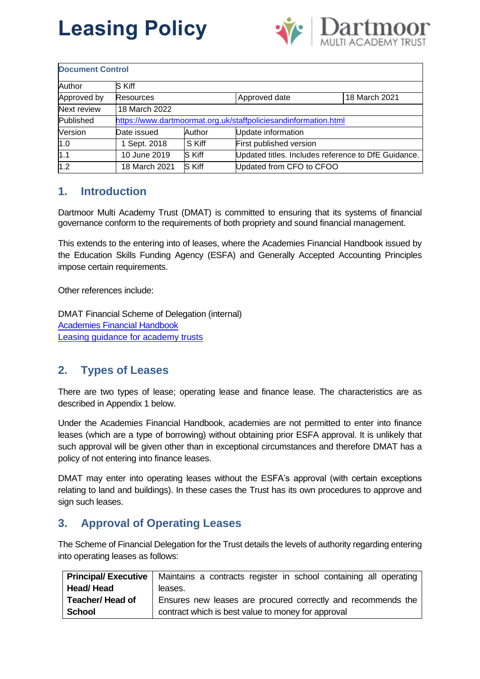

| <b>Document Control</b> |                                                                 |               |                                                     |               |
|-------------------------|-----------------------------------------------------------------|---------------|-----------------------------------------------------|---------------|
| Author                  | S Kiff                                                          |               |                                                     |               |
| Approved by             | <b>Resources</b>                                                |               | Approved date                                       | 18 March 2021 |
| Next review             | 18 March 2022                                                   |               |                                                     |               |
| Published               | https://www.dartmoormat.org.uk/staffpoliciesandinformation.html |               |                                                     |               |
| Version                 | Date issued                                                     | Author        | Update information                                  |               |
| 1.0                     | 1 Sept. 2018                                                    | S Kiff        | First published version                             |               |
| 1.1                     | 10 June 2019                                                    | <b>S Kiff</b> | Updated titles. Includes reference to DfE Guidance. |               |
| 1.2                     | 18 March 2021                                                   | S Kiff        | Updated from CFO to CFOO                            |               |

# **1. Introduction**

Dartmoor Multi Academy Trust (DMAT) is committed to ensuring that its systems of financial governance conform to the requirements of both propriety and sound financial management.

This extends to the entering into of leases, where the Academies Financial Handbook issued by the Education Skills Funding Agency (ESFA) and Generally Accepted Accounting Principles impose certain requirements.

Other references include:

DMAT Financial Scheme of Delegation (internal) [Academies Financial Handbook](https://www.gov.uk/government/publications/academies-financial-handbook) [Leasing guidance for academy trusts](https://www.gov.uk/government/publications/academy-trust-financial-management-good-practice-guides/leasing-guidance-for-academy-trusts)

### **2. Types of Leases**

There are two types of lease; operating lease and finance lease. The characteristics are as described in Appendix 1 below.

Under the Academies Financial Handbook, academies are not permitted to enter into finance leases (which are a type of borrowing) without obtaining prior ESFA approval. It is unlikely that such approval will be given other than in exceptional circumstances and therefore DMAT has a policy of not entering into finance leases.

DMAT may enter into operating leases without the ESFA's approval (with certain exceptions relating to land and buildings). In these cases the Trust has its own procedures to approve and sign such leases.

### **3. Approval of Operating Leases**

The Scheme of Financial Delegation for the Trust details the levels of authority regarding entering into operating leases as follows:

|                         | <b>Principal/ Executive</b>   Maintains a contracts register in school containing all operating |
|-------------------------|-------------------------------------------------------------------------------------------------|
| <b>Head/Head</b>        | leases.                                                                                         |
| <b>Teacher/ Head of</b> | Ensures new leases are procured correctly and recommends the                                    |
| <b>School</b>           | contract which is best value to money for approval                                              |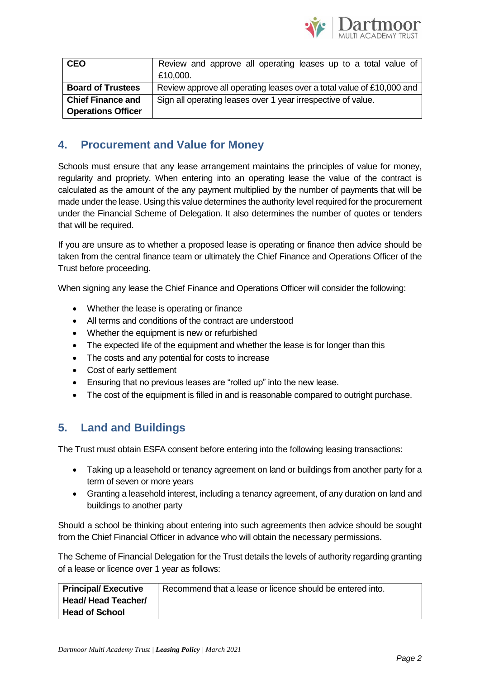

| <b>CEO</b>                | Review and approve all operating leases up to a total value of        |  |
|---------------------------|-----------------------------------------------------------------------|--|
|                           | £10,000.                                                              |  |
| <b>Board of Trustees</b>  | Review approve all operating leases over a total value of £10,000 and |  |
| <b>Chief Finance and</b>  | Sign all operating leases over 1 year irrespective of value.          |  |
| <b>Operations Officer</b> |                                                                       |  |

### **4. Procurement and Value for Money**

Schools must ensure that any lease arrangement maintains the principles of value for money, regularity and propriety. When entering into an operating lease the value of the contract is calculated as the amount of the any payment multiplied by the number of payments that will be made under the lease. Using this value determines the authority level required for the procurement under the Financial Scheme of Delegation. It also determines the number of quotes or tenders that will be required.

If you are unsure as to whether a proposed lease is operating or finance then advice should be taken from the central finance team or ultimately the Chief Finance and Operations Officer of the Trust before proceeding.

When signing any lease the Chief Finance and Operations Officer will consider the following:

- Whether the lease is operating or finance
- All terms and conditions of the contract are understood
- Whether the equipment is new or refurbished
- The expected life of the equipment and whether the lease is for longer than this
- The costs and any potential for costs to increase
- Cost of early settlement
- Ensuring that no previous leases are "rolled up" into the new lease.
- The cost of the equipment is filled in and is reasonable compared to outright purchase.

### **5. Land and Buildings**

The Trust must obtain ESFA consent before entering into the following leasing transactions:

- Taking up a leasehold or tenancy agreement on land or buildings from another party for a term of seven or more years
- Granting a leasehold interest, including a tenancy agreement, of any duration on land and buildings to another party

Should a school be thinking about entering into such agreements then advice should be sought from the Chief Financial Officer in advance who will obtain the necessary permissions.

The Scheme of Financial Delegation for the Trust details the levels of authority regarding granting of a lease or licence over 1 year as follows:

| Principal/Executive       | Recommend that a lease or licence should be entered into. |
|---------------------------|-----------------------------------------------------------|
| <b>Head/Head Teacher/</b> |                                                           |
| <b>Head of School</b>     |                                                           |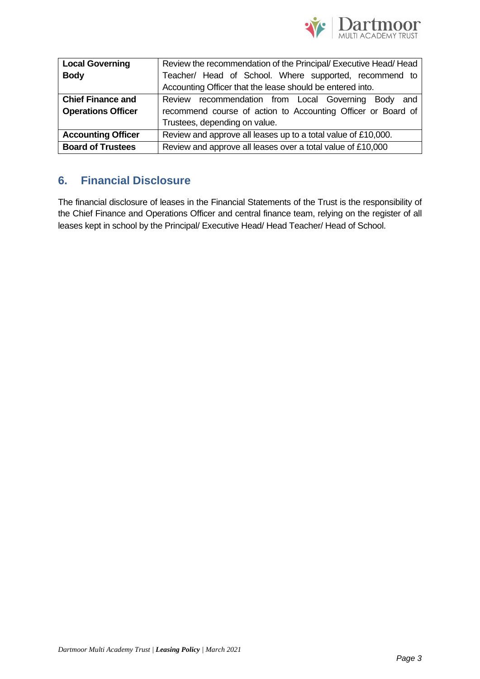

| <b>Local Governing</b>    | Review the recommendation of the Principal/Executive Head/Head |  |  |
|---------------------------|----------------------------------------------------------------|--|--|
| <b>Body</b>               | Teacher/ Head of School. Where supported, recommend to         |  |  |
|                           | Accounting Officer that the lease should be entered into.      |  |  |
| <b>Chief Finance and</b>  | Review recommendation from Local Governing Body<br>and         |  |  |
| <b>Operations Officer</b> | recommend course of action to Accounting Officer or Board of   |  |  |
|                           | Trustees, depending on value.                                  |  |  |
| <b>Accounting Officer</b> | Review and approve all leases up to a total value of £10,000.  |  |  |
| <b>Board of Trustees</b>  | Review and approve all leases over a total value of £10,000    |  |  |

### **6. Financial Disclosure**

The financial disclosure of leases in the Financial Statements of the Trust is the responsibility of the Chief Finance and Operations Officer and central finance team, relying on the register of all leases kept in school by the Principal/ Executive Head/ Head Teacher/ Head of School.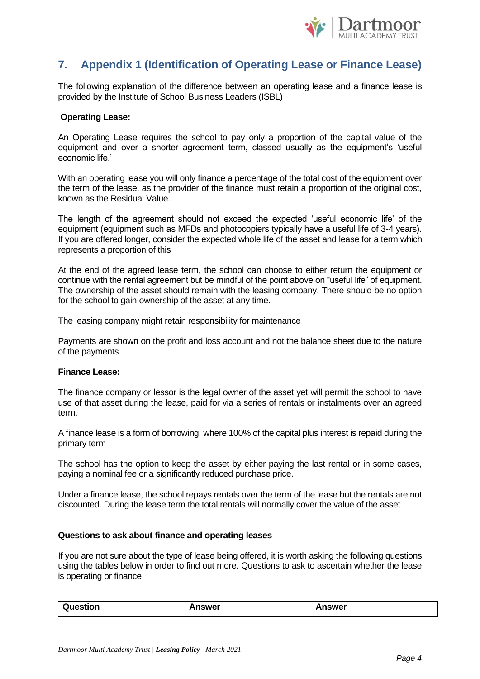

## **7. Appendix 1 (Identification of Operating Lease or Finance Lease)**

The following explanation of the difference between an operating lease and a finance lease is provided by the Institute of School Business Leaders (ISBL)

#### **Operating Lease:**

An Operating Lease requires the school to pay only a proportion of the capital value of the equipment and over a shorter agreement term, classed usually as the equipment's 'useful economic life.'

With an operating lease you will only finance a percentage of the total cost of the equipment over the term of the lease, as the provider of the finance must retain a proportion of the original cost, known as the Residual Value.

The length of the agreement should not exceed the expected 'useful economic life' of the equipment (equipment such as MFDs and photocopiers typically have a useful life of 3-4 years). If you are offered longer, consider the expected whole life of the asset and lease for a term which represents a proportion of this

At the end of the agreed lease term, the school can choose to either return the equipment or continue with the rental agreement but be mindful of the point above on "useful life" of equipment. The ownership of the asset should remain with the leasing company. There should be no option for the school to gain ownership of the asset at any time.

The leasing company might retain responsibility for maintenance

Payments are shown on the profit and loss account and not the balance sheet due to the nature of the payments

#### **Finance Lease:**

The finance company or lessor is the legal owner of the asset yet will permit the school to have use of that asset during the lease, paid for via a series of rentals or instalments over an agreed term.

A finance lease is a form of borrowing, where 100% of the capital plus interest is repaid during the primary term

The school has the option to keep the asset by either paying the last rental or in some cases, paying a nominal fee or a significantly reduced purchase price.

Under a finance lease, the school repays rentals over the term of the lease but the rentals are not discounted. During the lease term the total rentals will normally cover the value of the asset

#### **Questions to ask about finance and operating leases**

If you are not sure about the type of lease being offered, it is worth asking the following questions using the tables below in order to find out more. Questions to ask to ascertain whether the lease is operating or finance

| Question | <b>Answer</b> | Answer |
|----------|---------------|--------|
|          |               |        |